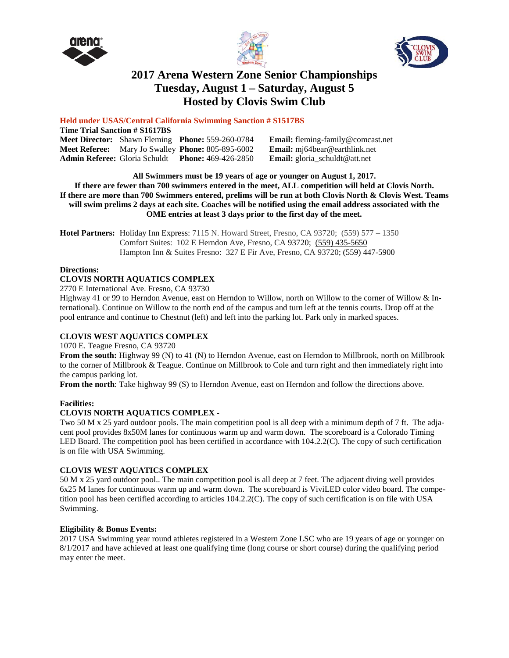





# **2017 Arena Western Zone Senior Championships Tuesday, August 1 – Saturday, August 5 Hosted by Clovis Swim Club**

# **Held under USAS/Central California Swimming Sanction # S1517BS**

| <b>Time Trial Sanction # S1617BS</b> |  |                                                                 |                                          |  |  |  |
|--------------------------------------|--|-----------------------------------------------------------------|------------------------------------------|--|--|--|
|                                      |  | <b>Meet Director:</b> Shawn Fleming <b>Phone:</b> 559-260-0784  | <b>Email:</b> fleming-family@comcast.net |  |  |  |
|                                      |  | <b>Meet Referee:</b> Mary Jo Swalley <b>Phone:</b> 805-895-6002 | <b>Email:</b> mj64bear@earthlink.net     |  |  |  |
| <b>Admin Referee: Gloria Schuldt</b> |  | <b>Phone:</b> 469-426-2850                                      | <b>Email:</b> gloria_schuldt@att.net     |  |  |  |

**All Swimmers must be 19 years of age or younger on August 1, 2017.** If there are fewer than 700 swimmers entered in the meet, ALL competition will held at Clovis North. If there are more than 700 Swimmers entered, prelims will be run at both Clovis North & Clovis West. Teams will swim prelims 2 days at each site. Coaches will be notified using the email address associated with the **OME entries at least 3 days prior to the first day of the meet.**

**Hotel Partners:** Holiday Inn Express: 7115 N. Howard Street, Fresno, CA 93720; (559) 577 – 1350 Comfort Suites: 102 E Herndon Ave, Fresno, CA 93720; (559) [435-5650](javascript:void(0)) Hampton Inn & Suites Fresno: 327 E Fir Ave, Fresno, CA 93720; (559) [447-5900](javascript:void(0))

# **Directions:**

# **CLOVIS NORTH AQUATICS COMPLEX**

2770 E International Ave. Fresno, CA 93730

Highway 41 or 99 to Herndon Avenue, east on Herndon to Willow, north on Willow to the corner of Willow & International). Continue on Willow to the north end of the campus and turn left at the tennis courts. Drop off at the pool entrance and continue to Chestnut (left) and left into the parking lot. Park only in marked spaces.

# **CLOVIS WEST AQUATICS COMPLEX**

1070 E. Teague Fresno, CA 93720

**From the south:** Highway 99 (N) to 41 (N) to Herndon Avenue, east on Herndon to Millbrook, north on Millbrook to the corner of Millbrook & Teague. Continue on Millbrook to Cole and turn right and then immediately right into the campus parking lot.

**From the north**: Take highway 99 (S) to Herndon Avenue, east on Herndon and follow the directions above.

# **Facilities:**

# **CLOVIS NORTH AQUATICS COMPLEX -**

Two 50 M x 25 yard outdoor pools. The main competition pool is all deep with a minimum depth of 7 ft. The adjacent pool provides 8x50M lanes for continuous warm up and warm down. The scoreboard is a Colorado Timing LED Board. The competition pool has been certified in accordance with 104.2.2(C). The copy of such certification is on file with USA Swimming.

# **CLOVIS WEST AQUATICS COMPLEX**

50 M x 25 yard outdoor pool.. The main competition pool is all deep at 7 feet. The adjacent diving well provides 6x25 M lanes for continuous warm up and warm down. The scoreboard is ViviLED color video board. The competition pool has been certified according to articles 104.2.2(C). The copy of such certification is on file with USA Swimming.

# **Eligibility & Bonus Events:**

2017 USA Swimming year round athletes registered in a Western Zone LSC who are 19 years of age or younger on 8/1/2017 and have achieved at least one qualifying time (long course or short course) during the qualifying period may enter the meet.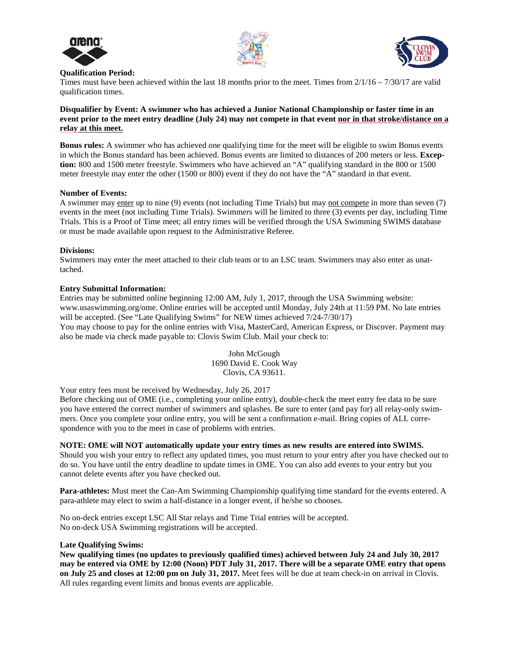





#### **Qualification Period:**

Times must have been achieved within the last 18 months prior to the meet. Times from 2/1/16 – 7/30/17 are valid qualification times.

# **Disqualifier by Event: A swimmer who has achieved a Junior National Championship or faster time in an** event prior to the meet entry deadline (July 24) may not compete in that event nor in that stroke/distance on a **relay at this meet.**

**Bonus rules:** A swimmer who has achieved one qualifying time for the meet will be eligible to swim Bonus events in which the Bonus standard has been achieved. Bonus events are limited to distances of 200 meters or less. **Exception:** 800 and 1500 meter freestyle. Swimmers who have achieved an "A" qualifying standard in the 800 or 1500 meter freestyle may enter the other (1500 or 800) event if they do not have the "A" standard in that event.

#### **Number of Events:**

A swimmer may enter up to nine (9) events (not including Time Trials) but may not compete in more than seven (7) events in the meet (not including Time Trials). Swimmers will be limited to three (3) events per day, including Time Trials. This is a Proof of Time meet; all entry times will be verified through the USA Swimming SWIMS database or must be made available upon request to the Administrative Referee.

#### **Divisions:**

Swimmers may enter the meet attached to their club team or to an LSC team. Swimmers may also enter as unattached.

#### **Entry Submittal Information:**

Entries may be submitted online beginning 12:00 AM, July 1, 2017, through the USA Swimming website: www.usaswimming.org/ome. Online entries will be accepted until Monday, July 24th at 11:59 PM. No late entries will be accepted. (See "Late Qualifying Swims" for NEW times achieved  $7/24-7/30/17$ ) You may choose to pay for the online entries with Visa, MasterCard, American Express, or Discover. Payment may also be made via check made payable to: Clovis Swim Club. Mail your check to:

> John McGough 1690 David E. Cook Way Clovis, CA 93611.

Your entry fees must be received by Wednesday, July 26, 2017

Before checking out of OME (i.e., completing your online entry), double-check the meet entry fee data to be sure you have entered the correct number of swimmers and splashes. Be sure to enter (and pay for) all relay-only swimmers. Once you complete your online entry, you will be sent a confirmation e-mail. Bring copies of ALL correspondence with you to the meet in case of problems with entries.

# **NOTE: OME will NOT automatically update your entry times as new results are entered into SWIMS.**

Should you wish your entry to reflect any updated times, you must return to your entry after you have checked out to do so. You have until the entry deadline to update times in OME. You can also add events to your entry but you cannot delete events after you have checked out.

**Para-athletes:** Must meet the Can-Am Swimming Championship qualifying time standard for the events entered. A para-athlete may elect to swim a half-distance in a longer event, if he/she so chooses.

No on-deck entries except LSC All Star relays and Time Trial entries will be accepted. No on-deck USA Swimming registrations will be accepted.

#### **Late Qualifying Swims:**

New qualifying times (no updates to previously qualified times) achieved between July 24 and July 30, 2017 may be entered via OME by 12:00 (Noon) PDT July 31, 2017. There will be a separate OME entry that opens **on July 25 and closes at 12:00 pm on July 31, 2017.** Meet fees will be due at team check-in on arrival in Clovis. All rules regarding event limits and bonus events are applicable.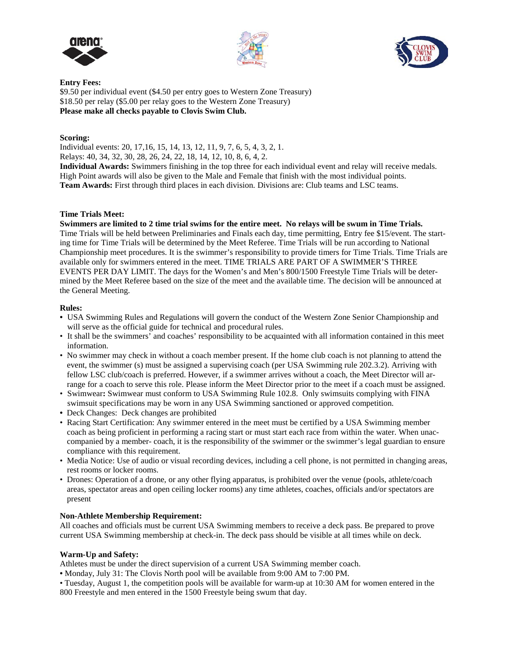





**Entry Fees:** \$9.50 per individual event (\$4.50 per entry goes to Western Zone Treasury) \$18.50 per relay (\$5.00 per relay goes to the Western Zone Treasury) **Please make all checks payable to Clovis Swim Club.**

# **Scoring:**

Individual events: 20, 17,16, 15, 14, 13, 12, 11, 9, 7, 6, 5, 4, 3, 2, 1. Relays: 40, 34, 32, 30, 28, 26, 24, 22, 18, 14, 12, 10, 8, 6, 4, 2.

**Individual Awards:** Swimmers finishing in the top three for each individual event and relay will receive medals. High Point awards will also be given to the Male and Female that finish with the most individual points. **Team Awards:** First through third places in each division. Divisions are: Club teams and LSC teams.

#### **Time Trials Meet:**

Swimmers are limited to 2 time trial swims for the entire meet. No relays will be swum in Time Trials. Time Trials will be held between Preliminaries and Finals each day, time permitting, Entry fee \$15/event. The starting time for Time Trials will be determined by the Meet Referee. Time Trials will be run according to National Championship meet procedures. It is the swimmer's responsibility to provide timers for Time Trials. Time Trials are available only for swimmers entered in the meet. TIME TRIALS ARE PART OF A SWIMMER'S THREE EVENTS PER DAY LIMIT. The days for the Women's and Men's 800/1500 Freestyle Time Trials will be determined by the Meet Referee based on the size of the meet and the available time. The decision will be announced at the General Meeting.

#### **Rules:**

- **•** USA Swimming Rules and Regulations will govern the conduct of the Western Zone Senior Championship and will serve as the official guide for technical and procedural rules.
- It shall be the swimmers' and coaches' responsibility to be acquainted with all information contained in this meet information.
- No swimmer may check in without a coach member present. If the home club coach is not planning to attend the event, the swimmer (s) must be assigned a supervising coach (per USA Swimming rule 202.3.2). Arriving with fellow LSC club/coach is preferred. However, if a swimmer arrives without a coach, the Meet Director will arrange for a coach to serve this role. Please inform the Meet Director prior to the meet if a coach must be assigned.
- Swimwear**:** Swimwear must conform to USA Swimming Rule 102.8. Only swimsuits complying with FINA swimsuit specifications may be worn in any USA Swimming sanctioned or approved competition.
- Deck Changes:Deck changes are prohibited
- Racing Start Certification: Any swimmer entered in the meet must be certified by a USA Swimming member coach as being proficient in performing a racing start or must start each race from within the water. When unaccompanied by a member- coach, it is the responsibility of the swimmer or the swimmer's legal guardian to ensure compliance with this requirement.
- Media Notice: Use of audio or visual recording devices, including a cell phone, is not permitted in changing areas, rest rooms or locker rooms.
- Drones: Operation of a drone, or any other flying apparatus, is prohibited over the venue (pools, athlete/coach areas, spectator areas and open ceiling locker rooms) any time athletes, coaches, officials and/or spectators are present

# **Non-Athlete Membership Requirement:**

All coaches and officials must be current USA Swimming members to receive a deck pass. Be prepared to prove current USA Swimming membership at check-in. The deck pass should be visible at all times while on deck.

#### **Warm-Up and Safety:**

Athletes must be under the direct supervision of a current USA Swimming member coach.

**•** Monday, July 31: The Clovis North pool will be available from 9:00 AM to 7:00 PM.

• Tuesday, August 1, the competition pools will be available for warm-up at 10:30 AM for women entered in the 800 Freestyle and men entered in the 1500 Freestyle being swum that day.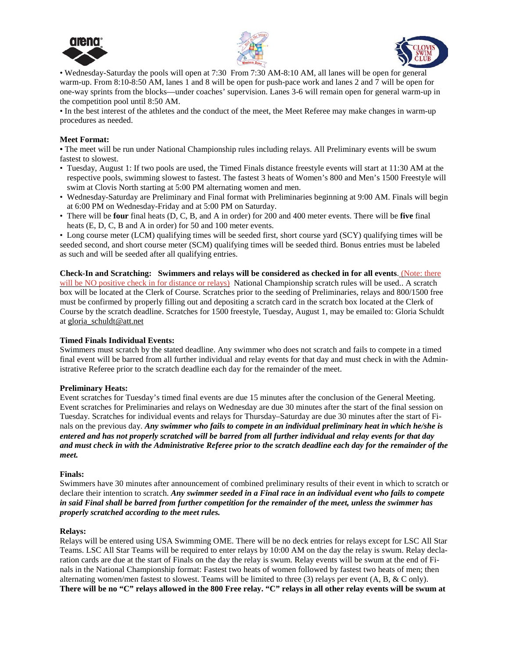





• Wednesday-Saturday the pools will open at 7:30 From 7:30 AM-8:10 AM, all lanes will be open for general warm-up. From 8:10-8:50 AM, lanes 1 and 8 will be open for push-pace work and lanes 2 and 7 will be open for one-way sprints from the blocks—under coaches' supervision. Lanes 3-6 will remain open for general warm-up in the competition pool until 8:50 AM.

• In the best interest of the athletes and the conduct of the meet, the Meet Referee may make changes in warm-up procedures as needed.

#### **Meet Format:**

• The meet will be run under National Championship rules including relays. All Preliminary events will be swum fastest to slowest.

- Tuesday, August 1: If two pools are used, the Timed Finals distance freestyle events will start at 11:30 AM at the respective pools, swimming slowest to fastest. The fastest 3 heats of Women's 800 and Men's 1500 Freestyle will swim at Clovis North starting at 5:00 PM alternating women and men.
- Wednesday-Saturday are Preliminary and Final format with Preliminaries beginning at 9:00 AM. Finals will begin at 6:00 PM on Wednesday-Friday and at 5:00 PM on Saturday.
- There will be **four** final heats (D, C, B, and A in order) for 200 and 400 meter events. There will be **five** final heats (E, D, C, B and A in order) for 50 and 100 meter events.

• Long course meter (LCM) qualifying times will be seeded first, short course yard (SCY) qualifying times will be seeded second, and short course meter (SCM) qualifying times will be seeded third. Bonus entries must be labeled as such and will be seeded after all qualifying entries.

**Check-In and Scratching: Swimmers and relays will be considered as checked in for all events**. (Note: there will be NO positive check in for distance or relays) National Championship scratch rules will be used.. A scratch box will be located at the Clerk of Course. Scratches prior to the seeding of Preliminaries, relays and 800/1500 free must be confirmed by properly filling out and depositing a scratch card in the scratch box located at the Clerk of Course by the scratch deadline. Scratches for 1500 freestyle, Tuesday, August 1, may be emailed to: Gloria Schuldt at gloria\_schuldt@att.net

# **Timed Finals Individual Events:**

Swimmers must scratch by the stated deadline. Any swimmer who does not scratch and fails to compete in a timed final event will be barred from all further individual and relay events for that day and must check in with the Administrative Referee prior to the scratch deadline each day for the remainder of the meet.

#### **Preliminary Heats:**

Event scratches for Tuesday's timed final events are due 15 minutes after the conclusion of the General Meeting. Event scratches for Preliminaries and relays on Wednesday are due 30 minutes after the start of the final session on Tuesday. Scratches for individual events and relays for Thursday–Saturday are due 30 minutes after the start of Finals on the previous day. *Any swimmer who fails to compete in an individual preliminary heat in which he/she is* entered and has not properly scratched will be barred from all further individual and relay events for that day and must check in with the Administrative Referee prior to the scratch deadline each day for the remainder of the *meet.*

#### **Finals:**

Swimmers have 30 minutes after announcement of combined preliminary results of their event in which to scratch or declare their intention to scratch. *Any swimmer seeded in a Final race in an individual event who fails to compete* in said Final shall be barred from further competition for the remainder of the meet, unless the swimmer has *properly scratched according to the meet rules.*

#### **Relays:**

Relays will be entered using USA Swimming OME. There will be no deck entries for relays except for LSC All Star Teams. LSC All Star Teams will be required to enter relays by 10:00 AM on the day the relay is swum. Relay declaration cards are due at the start of Finals on the day the relay is swum. Relay events will be swum at the end of Finals in the National Championship format: Fastest two heats of women followed by fastest two heats of men; then alternating women/men fastest to slowest. Teams will be limited to three (3) relays per event (A, B, & C only). There will be no "C" relays allowed in the 800 Free relay. "C" relays in all other relay events will be swum at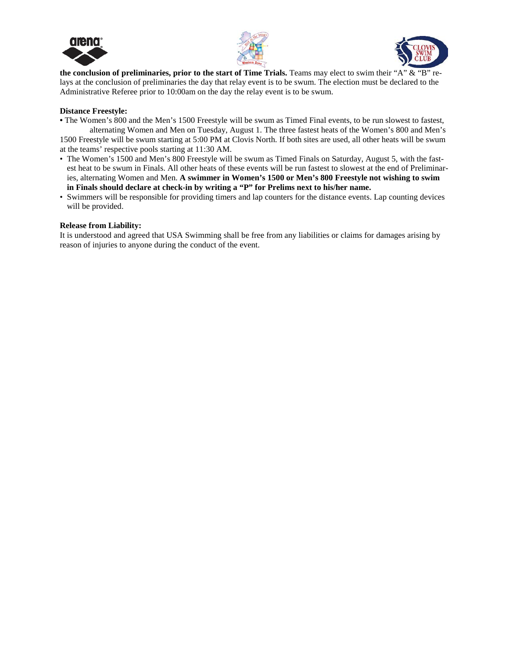





**the conclusion of preliminaries, prior to the start of Time Trials.** Teams may elect to swim their "A" & "B" relays at the conclusion of preliminaries the day that relay event is to be swum. The election must be declared to the Administrative Referee prior to 10:00am on the day the relay event is to be swum.

#### **Distance Freestyle:**

**•** The Women's 800 and the Men's 1500 Freestyle will be swum as Timed Final events, to be run slowest to fastest, alternating Women and Men on Tuesday, August 1. The three fastest heats of the Women's 800 and Men's

1500 Freestyle will be swum starting at 5:00 PM at Clovis North. If both sites are used, all other heats will be swum at the teams' respective pools starting at 11:30 AM.

- The Women's 1500 and Men's 800 Freestyle will be swum as Timed Finals on Saturday, August 5, with the fastest heat to be swum in Finals. All other heats of these events will be run fastest to slowest at the end of Preliminaries, alternating Women and Men. **A swimmer in Women's 1500 or Men's 800 Freestyle not wishing to swim in Finals should declare at check-in by writing a "P" for Prelims next to his/her name.**
- Swimmers will be responsible for providing timers and lap counters for the distance events. Lap counting devices will be provided.

#### **Release from Liability:**

It is understood and agreed that USA Swimming shall be free from any liabilities or claims for damages arising by reason of injuries to anyone during the conduct of the event.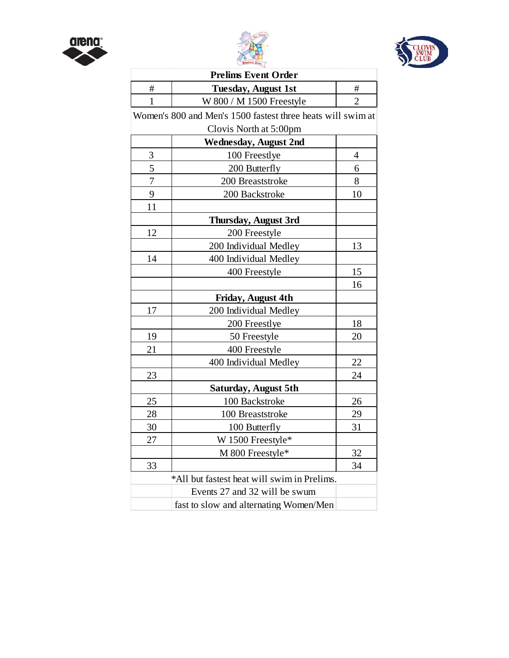





| <b>Prelims Event Order</b>                  |                                                             |                |  |  |  |
|---------------------------------------------|-------------------------------------------------------------|----------------|--|--|--|
| #                                           | <b>Tuesday, August 1st</b>                                  | #              |  |  |  |
| $\mathbf{1}$                                | W 800 / M 1500 Freestyle                                    | $\overline{2}$ |  |  |  |
|                                             | Women's 800 and Men's 1500 fastest three heats will swim at |                |  |  |  |
|                                             | Clovis North at 5:00pm                                      |                |  |  |  |
|                                             | <b>Wednesday, August 2nd</b>                                |                |  |  |  |
| 3                                           | 100 Freestlye                                               | 4              |  |  |  |
| 5                                           | 200 Butterfly                                               | 6              |  |  |  |
| $\overline{7}$                              | 200 Breaststroke                                            | 8              |  |  |  |
| 9                                           | 200 Backstroke                                              | 10             |  |  |  |
| 11                                          |                                                             |                |  |  |  |
|                                             | <b>Thursday, August 3rd</b>                                 |                |  |  |  |
| 12                                          | 200 Freestyle                                               |                |  |  |  |
|                                             | 200 Individual Medley                                       | 13             |  |  |  |
| 14                                          | 400 Individual Medley                                       |                |  |  |  |
|                                             | 400 Freestyle                                               | 15             |  |  |  |
|                                             |                                                             | 16             |  |  |  |
|                                             | Friday, August 4th                                          |                |  |  |  |
| 17                                          | 200 Individual Medley                                       |                |  |  |  |
|                                             | 200 Freestlye                                               | 18             |  |  |  |
| 19                                          | 50 Freestyle                                                | 20             |  |  |  |
| 21                                          | 400 Freestyle                                               |                |  |  |  |
|                                             | 400 Individual Medley                                       | 22             |  |  |  |
| 23                                          |                                                             | 24             |  |  |  |
|                                             | Saturday, August 5th                                        |                |  |  |  |
| 25                                          | 100 Backstroke                                              | 26             |  |  |  |
| 28                                          | 100 Breaststroke                                            | 29             |  |  |  |
| 30                                          | 100 Butterfly                                               | 31             |  |  |  |
| 27                                          | W 1500 Freestyle*                                           |                |  |  |  |
|                                             | M 800 Freestyle*                                            | 32             |  |  |  |
| 33                                          |                                                             | 34             |  |  |  |
| *All but fastest heat will swim in Prelims. |                                                             |                |  |  |  |
|                                             | Events 27 and 32 will be swum                               |                |  |  |  |
|                                             | fast to slow and alternating Women/Men                      |                |  |  |  |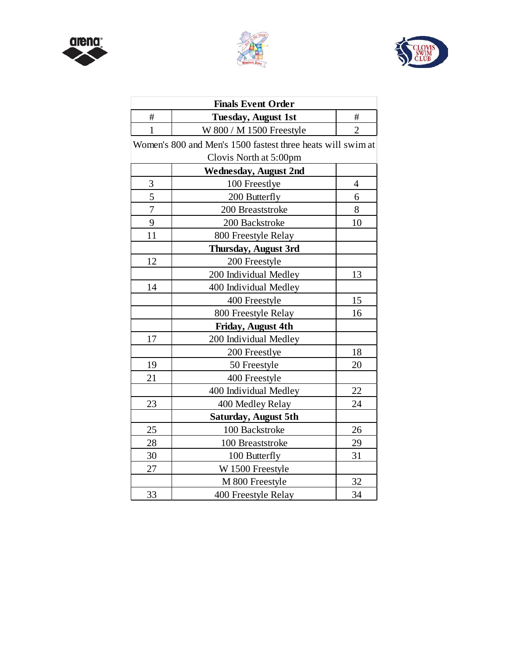





| <b>Finals Event Order</b> |                                                             |                |  |  |  |
|---------------------------|-------------------------------------------------------------|----------------|--|--|--|
| #                         | <b>Tuesday, August 1st</b><br>#                             |                |  |  |  |
| $\mathbf{1}$              | W 800 / M 1500 Freestyle                                    | $\overline{2}$ |  |  |  |
|                           | Women's 800 and Men's 1500 fastest three heats will swim at |                |  |  |  |
|                           | Clovis North at 5:00pm                                      |                |  |  |  |
|                           | <b>Wednesday, August 2nd</b>                                |                |  |  |  |
| 3                         | 100 Freestlye                                               | 4              |  |  |  |
| 5                         | 200 Butterfly                                               | 6              |  |  |  |
| $\overline{7}$            | 200 Breaststroke                                            | 8              |  |  |  |
| 9                         | 200 Backstroke                                              | 10             |  |  |  |
| 11                        | 800 Freestyle Relay                                         |                |  |  |  |
|                           | Thursday, August 3rd                                        |                |  |  |  |
| 12                        | 200 Freestyle                                               |                |  |  |  |
|                           | 200 Individual Medley                                       | 13             |  |  |  |
| 14                        | 400 Individual Medley                                       |                |  |  |  |
|                           | 400 Freestyle                                               | 15             |  |  |  |
|                           | 800 Freestyle Relay                                         | 16             |  |  |  |
| Friday, August 4th        |                                                             |                |  |  |  |
| 17                        | 200 Individual Medley                                       |                |  |  |  |
|                           | 200 Freestlye                                               | 18             |  |  |  |
| 19                        | 50 Freestyle                                                | 20             |  |  |  |
| 21                        | 400 Freestyle                                               |                |  |  |  |
|                           | 400 Individual Medley                                       | 22             |  |  |  |
| 23                        | 400 Medley Relay                                            | 24             |  |  |  |
|                           | Saturday, August 5th                                        |                |  |  |  |
| 25                        | 100 Backstroke                                              | 26             |  |  |  |
| 28                        | 100 Breaststroke                                            | 29             |  |  |  |
| 30                        | 100 Butterfly                                               | 31             |  |  |  |
| 27                        | W 1500 Freestyle                                            |                |  |  |  |
|                           | M 800 Freestyle                                             | 32             |  |  |  |
| 33                        | 400 Freestyle Relay                                         | 34             |  |  |  |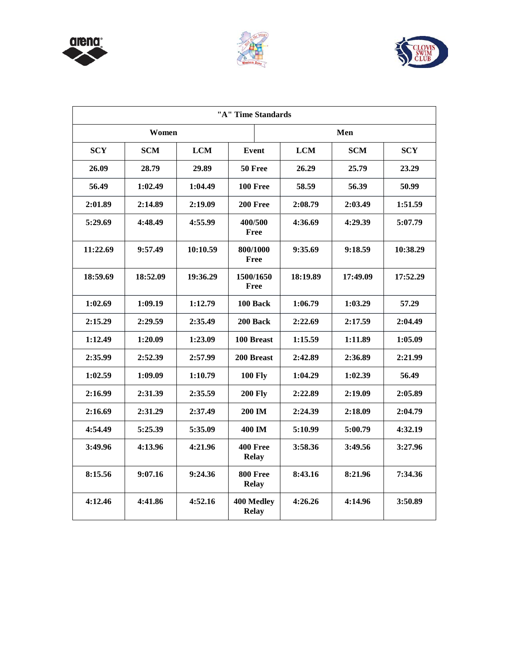





| "A" Time Standards |            |            |                                   |            |            |            |
|--------------------|------------|------------|-----------------------------------|------------|------------|------------|
| Women              |            |            | Men                               |            |            |            |
| <b>SCY</b>         | <b>SCM</b> | <b>LCM</b> | <b>Event</b>                      | <b>LCM</b> | <b>SCM</b> | <b>SCY</b> |
| 26.09              | 28.79      | 29.89      | 50 Free                           | 26.29      | 25.79      | 23.29      |
| 56.49              | 1:02.49    | 1:04.49    | <b>100 Free</b>                   | 58.59      | 56.39      | 50.99      |
| 2:01.89            | 2:14.89    | 2:19.09    | 200 Free                          | 2:08.79    | 2:03.49    | 1:51.59    |
| 5:29.69            | 4:48.49    | 4:55.99    | 400/500<br>Free                   | 4:36.69    | 4:29.39    | 5:07.79    |
| 11:22.69           | 9:57.49    | 10:10.59   | 800/1000<br>Free                  | 9:35.69    | 9:18.59    | 10:38.29   |
| 18:59.69           | 18:52.09   | 19:36.29   | 1500/1650<br>Free                 | 18:19.89   | 17:49.09   | 17:52.29   |
| 1:02.69            | 1:09.19    | 1:12.79    | 100 Back                          | 1:06.79    | 1:03.29    | 57.29      |
| 2:15.29            | 2:29.59    | 2:35.49    | 200 Back                          | 2:22.69    | 2:17.59    | 2:04.49    |
| 1:12.49            | 1:20.09    | 1:23.09    | 100 Breast                        | 1:15.59    | 1:11.89    | 1:05.09    |
| 2:35.99            | 2:52.39    | 2:57.99    | 200 Breast                        | 2:42.89    | 2:36.89    | 2:21.99    |
| 1:02.59            | 1:09.09    | 1:10.79    | <b>100 Fly</b>                    | 1:04.29    | 1:02.39    | 56.49      |
| 2:16.99            | 2:31.39    | 2:35.59    | <b>200 Fly</b>                    | 2:22.89    | 2:19.09    | 2:05.89    |
| 2:16.69            | 2:31.29    | 2:37.49    | 200 IM                            | 2:24.39    | 2:18.09    | 2:04.79    |
| 4:54.49            | 5:25.39    | 5:35.09    | 400 IM                            | 5:10.99    | 5:00.79    | 4:32.19    |
| 3:49.96            | 4:13.96    | 4:21.96    | <b>400 Free</b><br><b>Relay</b>   | 3:58.36    | 3:49.56    | 3:27.96    |
| 8:15.56            | 9:07.16    | 9:24.36    | <b>800 Free</b><br><b>Relay</b>   | 8:43.16    | 8:21.96    | 7:34.36    |
| 4:12.46            | 4:41.86    | 4:52.16    | <b>400 Medley</b><br><b>Relay</b> | 4:26.26    | 4:14.96    | 3:50.89    |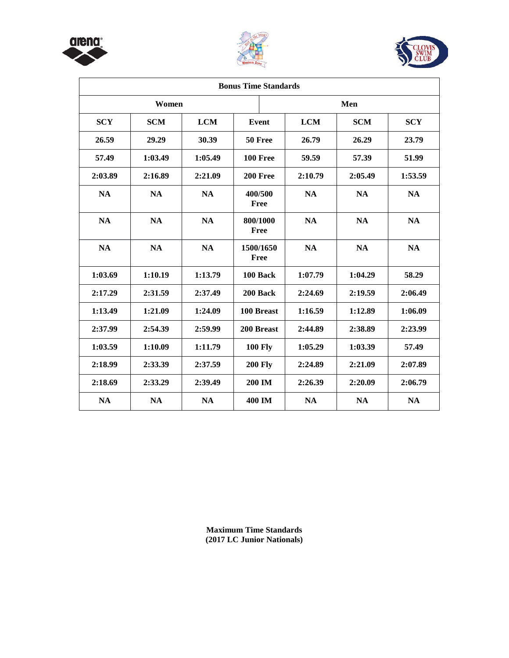





| <b>Bonus Time Standards</b> |            |            |                   |            |            |            |  |
|-----------------------------|------------|------------|-------------------|------------|------------|------------|--|
| Women                       |            |            |                   | Men        |            |            |  |
| <b>SCY</b>                  | <b>SCM</b> | <b>LCM</b> | Event             | <b>LCM</b> | <b>SCM</b> | <b>SCY</b> |  |
| 26.59                       | 29.29      | 30.39      | 50 Free           | 26.79      | 26.29      | 23.79      |  |
| 57.49                       | 1:03.49    | 1:05.49    | 100 Free          | 59.59      | 57.39      | 51.99      |  |
| 2:03.89                     | 2:16.89    | 2:21.09    | 200 Free          | 2:10.79    | 2:05.49    | 1:53.59    |  |
| <b>NA</b>                   | <b>NA</b>  | <b>NA</b>  | 400/500<br>Free   | <b>NA</b>  | <b>NA</b>  | <b>NA</b>  |  |
| <b>NA</b>                   | <b>NA</b>  | <b>NA</b>  | 800/1000<br>Free  | <b>NA</b>  | <b>NA</b>  | <b>NA</b>  |  |
| <b>NA</b>                   | <b>NA</b>  | <b>NA</b>  | 1500/1650<br>Free | <b>NA</b>  | <b>NA</b>  | <b>NA</b>  |  |
| 1:03.69                     | 1:10.19    | 1:13.79    | 100 Back          | 1:07.79    | 1:04.29    | 58.29      |  |
| 2:17.29                     | 2:31.59    | 2:37.49    | 200 Back          | 2:24.69    | 2:19.59    | 2:06.49    |  |
| 1:13.49                     | 1:21.09    | 1:24.09    | 100 Breast        | 1:16.59    | 1:12.89    | 1:06.09    |  |
| 2:37.99                     | 2:54.39    | 2:59.99    | 200 Breast        | 2:44.89    | 2:38.89    | 2:23.99    |  |
| 1:03.59                     | 1:10.09    | 1:11.79    | <b>100 Fly</b>    | 1:05.29    | 1:03.39    | 57.49      |  |
| 2:18.99                     | 2:33.39    | 2:37.59    | <b>200 Fly</b>    | 2:24.89    | 2:21.09    | 2:07.89    |  |
| 2:18.69                     | 2:33.29    | 2:39.49    | <b>200 IM</b>     | 2:26.39    | 2:20.09    | 2:06.79    |  |
| <b>NA</b>                   | <b>NA</b>  | <b>NA</b>  | 400 IM            | <b>NA</b>  | <b>NA</b>  | <b>NA</b>  |  |

**Maximum Time Standards (2017 LC Junior Nationals)**